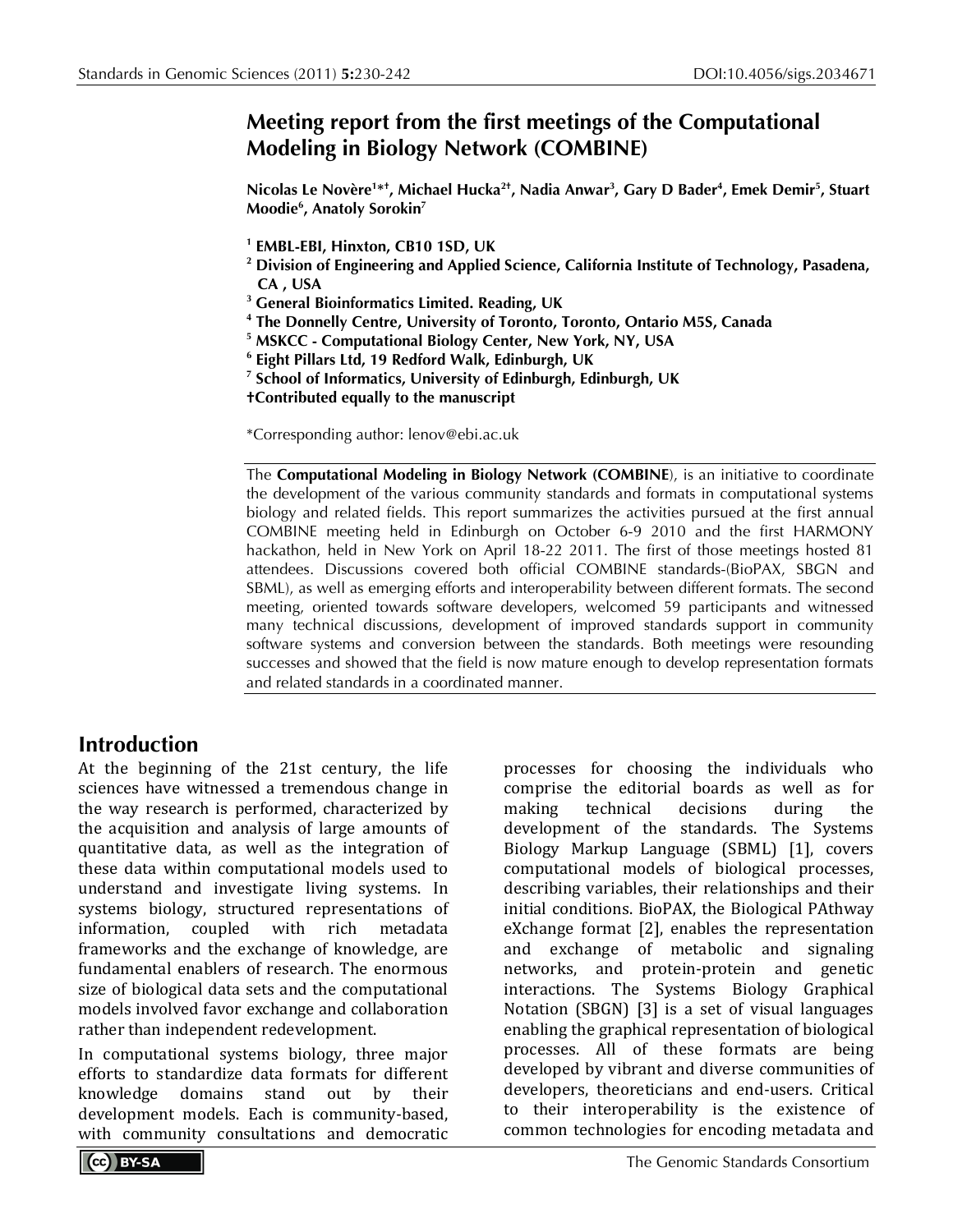## **Meeting report from the first meetings of the Computational Modeling in Biology Network (COMBINE)**

**Nicolas Le Novère1 \*† , Michael Hucka2†, Nadia Anwar3 , Gary D Bader4 , Emek Demir5 , Stuart Moodie6 , Anatoly Sorokin7**

- **<sup>1</sup> EMBL-EBI, Hinxton, CB10 1SD, UK**
- **<sup>2</sup> Division of Engineering and Applied Science, California Institute of Technology, Pasadena, CA , USA**
- **<sup>3</sup> General Bioinformatics Limited. Reading, UK**
- **<sup>4</sup> The Donnelly Centre, University of Toronto, Toronto, Ontario M5S, Canada**
- **<sup>5</sup> MSKCC - Computational Biology Center, New York, NY, USA**
- **<sup>6</sup> Eight Pillars Ltd, 19 Redford Walk, Edinburgh, UK**
- **<sup>7</sup> School of Informatics, University of Edinburgh, Edinburgh, UK**

**†Contributed equally to the manuscript**

\*Corresponding author: lenov@ebi.ac.uk

The **Computational Modeling in Biology Network (COMBINE**), is an initiative to coordinate the development of the various community standards and formats in computational systems biology and related fields. This report summarizes the activities pursued at the first annual COMBINE meeting held in Edinburgh on October 6-9 2010 and the first HARMONY hackathon, held in New York on April 18-22 2011. The first of those meetings hosted 81 attendees. Discussions covered both official COMBINE standards-(BioPAX, SBGN and SBML), as well as emerging efforts and interoperability between different formats. The second meeting, oriented towards software developers, welcomed 59 participants and witnessed many technical discussions, development of improved standards support in community software systems and conversion between the standards. Both meetings were resounding successes and showed that the field is now mature enough to develop representation formats and related standards in a coordinated manner.

### **Introduction**

At the beginning of the 21st century, the life sciences have witnessed a tremendous change in the way research is performed, characterized by the acquisition and analysis of large amounts of quantitative data, as well as the integration of these data within computational models used to understand and investigate living systems. In systems biology, structured representations of<br>information. coupled with rich metadata with rich frameworks and the exchange of knowledge, are fundamental enablers of research. The enormous size of biological data sets and the computational models involved favor exchange and collaboration rather than independent redevelopment.

In computational systems biology, three major efforts to standardize data formats for different<br>knowledge domains stand out by their knowledge domains stand out by their development models. Each is community-based, with community consultations and democratic

processes for choosing the individuals who comprise the editorial boards as well as for decisions development of the standards. The Systems Biology Markup Language (SBML) [1], covers computational models of biological processes, describing variables, their relationships and their initial conditions. BioPAX, the Biological PAthway eXchange format [2], enables the representation and exchange of metabolic and signaling networks, and protein-protein and genetic interactions. The Systems Biology Graphical Notation (SBGN) [3] is a set of visual languages enabling the graphical representation of biological processes. All of these formats are being developed by vibrant and diverse communities of developers, theoreticians and end-users. Critical to their interoperability is the existence of common technologies for encoding metadata and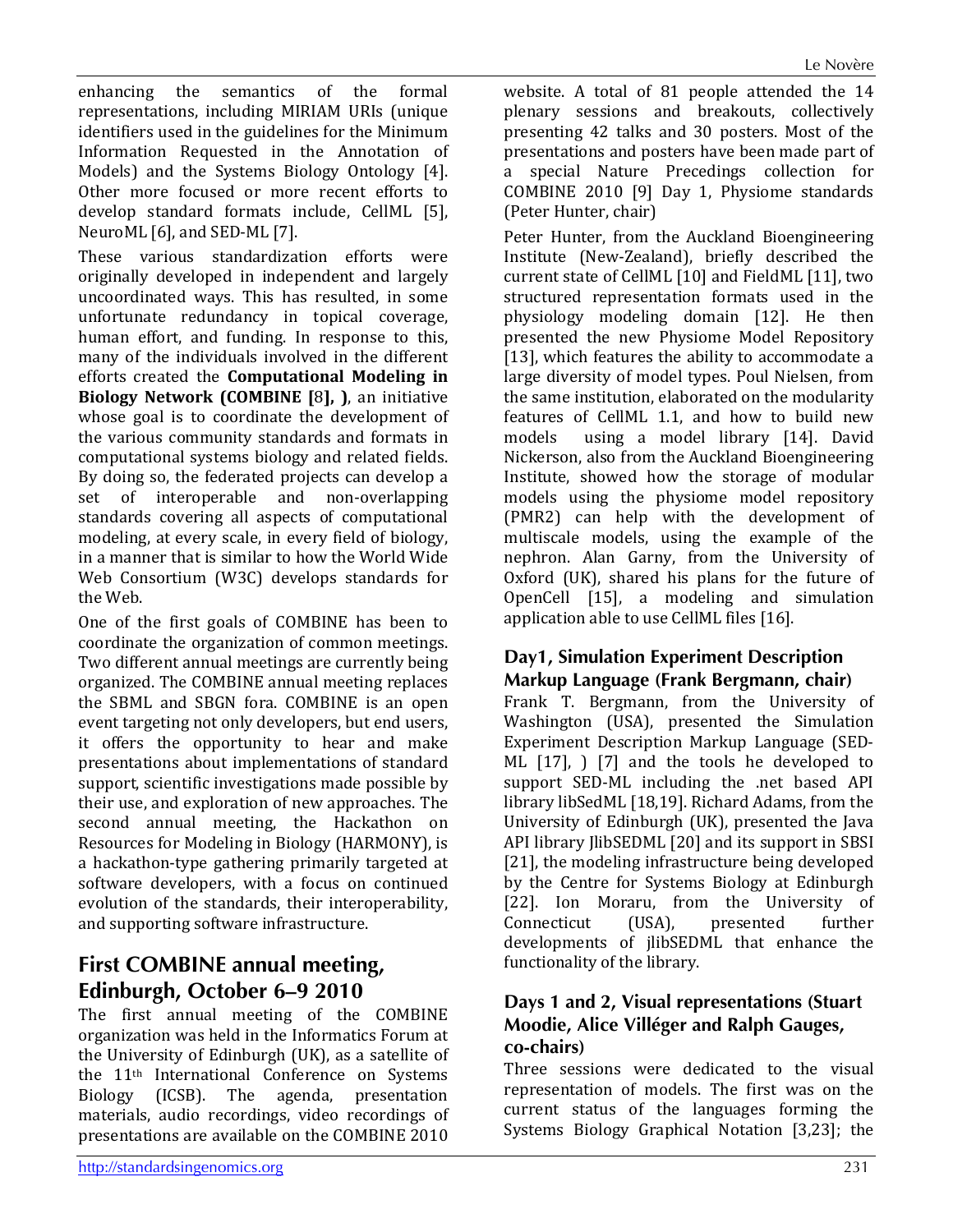enhancing the semantics of the formal representations, including MIRIAM URIs (unique identifiers used in the guidelines for the Minimum Information Requested in the Annotation of Models) and the Systems Biology Ontology [4]. Other more focused or more recent efforts to develop standard formats include, CellML [5], NeuroML [6], and SED-ML [7].

These various standardization efforts were originally developed in independent and largely uncoordinated ways. This has resulted, in some unfortunate redundancy in topical coverage, human effort, and funding. In response to this, many of the individuals involved in the different efforts created the **Computational Modeling in Biology Network (COMBINE [**8**], )**, an initiative whose goal is to coordinate the development of the various community standards and formats in computational systems biology and related fields. By doing so, the federated projects can develop a set of interoperable and non-overlapping standards covering all aspects of computational modeling, at every scale, in every field of biology, in a manner that is similar to how the World Wide Web Consortium (W3C) develops standards for the Web.

One of the first goals of COMBINE has been to coordinate the organization of common meetings. Two different annual meetings are currently being organized. The COMBINE annual meeting replaces the SBML and SBGN fora. COMBINE is an open event targeting not only developers, but end users, it offers the opportunity to hear and make presentations about implementations of standard support, scientific investigations made possible by their use, and exploration of new approaches. The second annual meeting, the Hackathon on Resources for Modeling in Biology (HARMONY), is a hackathon-type gathering primarily targeted at software developers, with a focus on continued evolution of the standards, their interoperability, and supporting software infrastructure.

# **First COMBINE annual meeting, Edinburgh, October 6–9 2010**

The first annual meeting of the COMBINE organization was held in the Informatics Forum at the University of Edinburgh (UK), as a satellite of the 11<sup>th</sup> International Conference on Systems<br>Biology (ICSB). The agenda, presentation presentation materials, audio recordings, video recordings of presentations are available on the COMBINE 2010 website. A total of 81 people attended the 14 plenary sessions and breakouts, collectively presenting 42 talks and 30 posters. Most of the presentations and posters have been made part of a special Nature Precedings collection for COMBINE 2010 [9] Day 1, Physiome standards (Peter Hunter, chair)

Peter Hunter, from the Auckland Bioengineering Institute (New-Zealand), briefly described the current state of CellML [10] and FieldML [11], two structured representation formats used in the physiology modeling domain [12]. He then presented the new Physiome Model Repository [13], which features the ability to accommodate a large diversity of model types. Poul Nielsen, from the same institution, elaborated on the modularity features of CellML 1.1, and how to build new<br>models using a model library [14]. David using a model library [14]. David Nickerson, also from the Auckland Bioengineering Institute, showed how the storage of modular models using the physiome model repository (PMR2) can help with the development of multiscale models, using the example of the nephron. Alan Garny, from the University of Oxford (UK), shared his plans for the future of OpenCell [15], a modeling and simulation application able to use CellML files [16].

#### **Day1, Simulation Experiment Description Markup Language (Frank Bergmann, chair)**

Frank T. Bergmann, from the University of Washington (USA), presented the Simulation Experiment Description Markup Language (SED-ML [17], ) [7] and the tools he developed to support SED-ML including the .net based API library libSedML [18,19]. Richard Adams, from the University of Edinburgh (UK), presented the Java API library JlibSEDML [20] and its support in SBSI [21], the modeling infrastructure being developed by the Centre for Systems Biology at Edinburgh [22]. Ion Moraru, from the University of Connecticut (USA), presented further Connecticut developments of jlibSEDML that enhance the functionality of the library.

#### **Days 1 and 2, Visual representations (Stuart Moodie, Alice Villéger and Ralph Gauges, co-chairs)**

Three sessions were dedicated to the visual representation of models. The first was on the current status of the languages forming the Systems Biology Graphical Notation [3,23]; the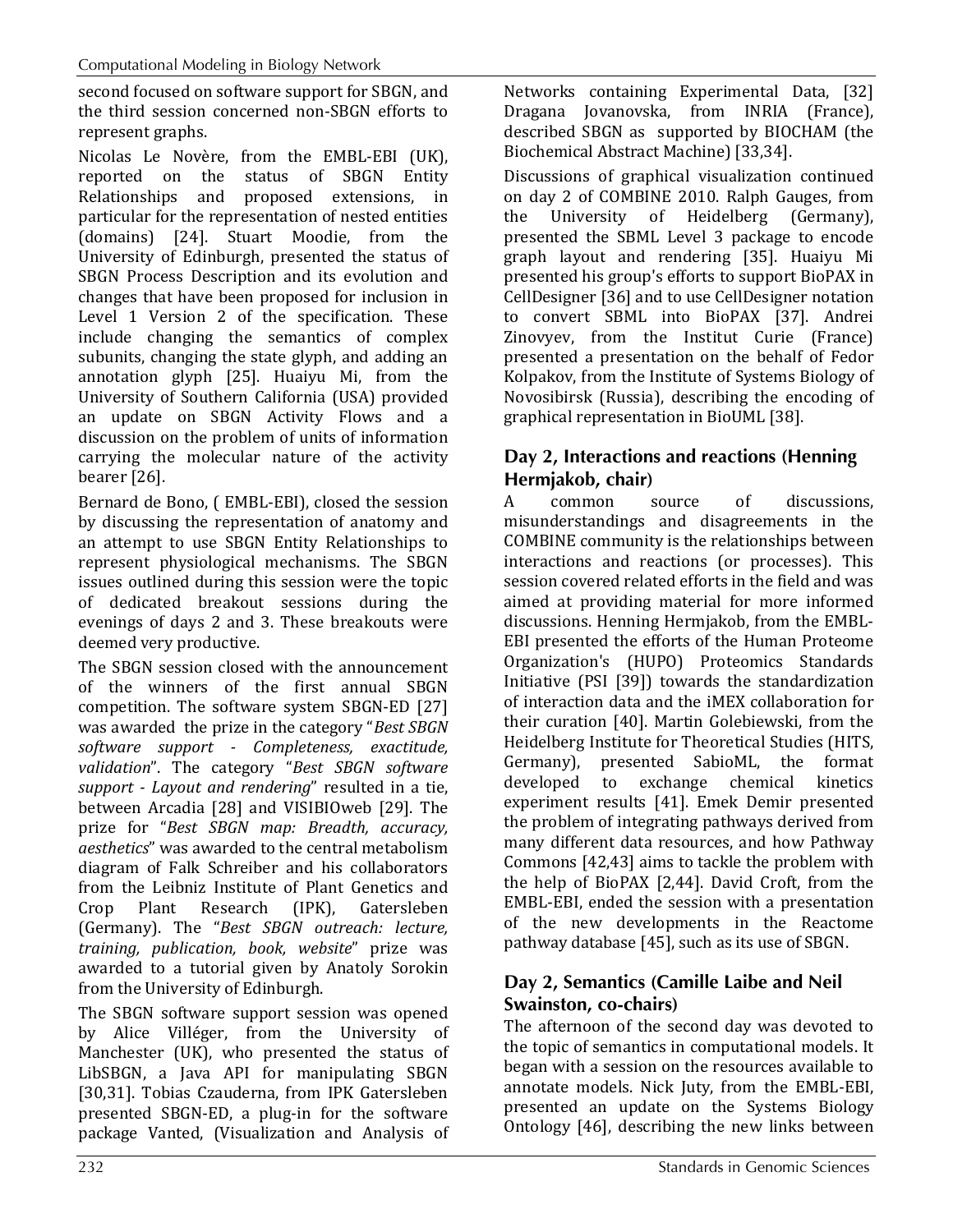second focused on software support for SBGN, and the third session concerned non-SBGN efforts to represent graphs.

Nicolas Le Novère, from the EMBL-EBI (UK), reported on the status of SBGN Entity Relationships and proposed extensions, in particular for the representation of nested entities (domains) [24]. Stuart Moodie, from the University of Edinburgh, presented the status of SBGN Process Description and its evolution and changes that have been proposed for inclusion in Level 1 Version 2 of the specification. These include changing the semantics of complex subunits, changing the state glyph, and adding an annotation glyph [25]. Huaiyu Mi, from the University of Southern California (USA) provided an update on SBGN Activity Flows and a discussion on the problem of units of information carrying the molecular nature of the activity bearer [26].

Bernard de Bono, ( EMBL-EBI), closed the session by discussing the representation of anatomy and an attempt to use SBGN Entity Relationships to represent physiological mechanisms. The SBGN issues outlined during this session were the topic of dedicated breakout sessions during the evenings of days 2 and 3. These breakouts were deemed very productive.

The SBGN session closed with the announcement of the winners of the first annual SBGN competition. The software system SBGN-ED [27] was awarded the prize in the category "*Best SBGN software support - Completeness, exactitude, validation*". The category "*Best SBGN software support - Layout and rendering*" resulted in a tie, between Arcadia [28] and VISIBIOweb [29]. The prize for "*Best SBGN map: Breadth, accuracy, aesthetics*" was awarded to the central metabolism diagram of Falk Schreiber and his collaborators from the Leibniz Institute of Plant Genetics and<br>Crop Plant Research (IPK), Gatersleben Crop Plant Research (IPK), Gatersleben (Germany). The "*Best SBGN outreach: lecture, training, publication, book, website*" prize was awarded to a tutorial given by Anatoly Sorokin from the University of Edinburgh.

The SBGN software support session was opened by Alice Villéger, from the University of Manchester (UK), who presented the status of LibSBGN, a Java API for manipulating SBGN [30,31]. Tobias Czauderna, from IPK Gatersleben presented SBGN-ED, a plug-in for the software package Vanted, (Visualization and Analysis of

Networks containing Experimental Data, [32] Dragana Jovanovska, from INRIA (France), described SBGN as supported by BIOCHAM (the Biochemical Abstract Machine) [33,34].

Discussions of graphical visualization continued on day 2 of COMBINE 2010. Ralph Gauges, from the University of Heidelberg (Germany), presented the SBML Level 3 package to encode graph layout and rendering [35]. Huaiyu Mi presented his group's efforts to support BioPAX in CellDesigner [36] and to use CellDesigner notation to convert SBML into BioPAX [37]. Andrei Zinovyev, from the Institut Curie (France) presented a presentation on the behalf of Fedor Kolpakov, from the Institute of Systems Biology of Novosibirsk (Russia), describing the encoding of graphical representation in BioUML [38].

#### **Day 2, Interactions and reactions (Henning Hermjakob, chair)**

A common source of discussions, misunderstandings and disagreements in the COMBINE community is the relationships between interactions and reactions (or processes). This session covered related efforts in the field and was aimed at providing material for more informed discussions. Henning Hermjakob, from the EMBL-EBI presented the efforts of the Human Proteome Organization's (HUPO) Proteomics Standards Initiative (PSI [39]) towards the standardization of interaction data and the iMEX collaboration for their curation [40]. Martin Golebiewski, from the Heidelberg Institute for Theoretical Studies (HITS, Germany), presented SabioML, the format<br>developed to exchange chemical kinetics chemical kinetics experiment results [41]. Emek Demir presented the problem of integrating pathways derived from many different data resources, and how Pathway Commons [42,43] aims to tackle the problem with the help of BioPAX [2,44]. David Croft, from the EMBL-EBI, ended the session with a presentation of the new developments in the Reactome pathway database [45], such as its use of SBGN.

### **Day 2, Semantics (Camille Laibe and Neil Swainston, co-chairs)**

The afternoon of the second day was devoted to the topic of semantics in computational models. It began with a session on the resources available to annotate models. Nick Juty, from the EMBL-EBI, presented an update on the Systems Biology Ontology [46], describing the new links between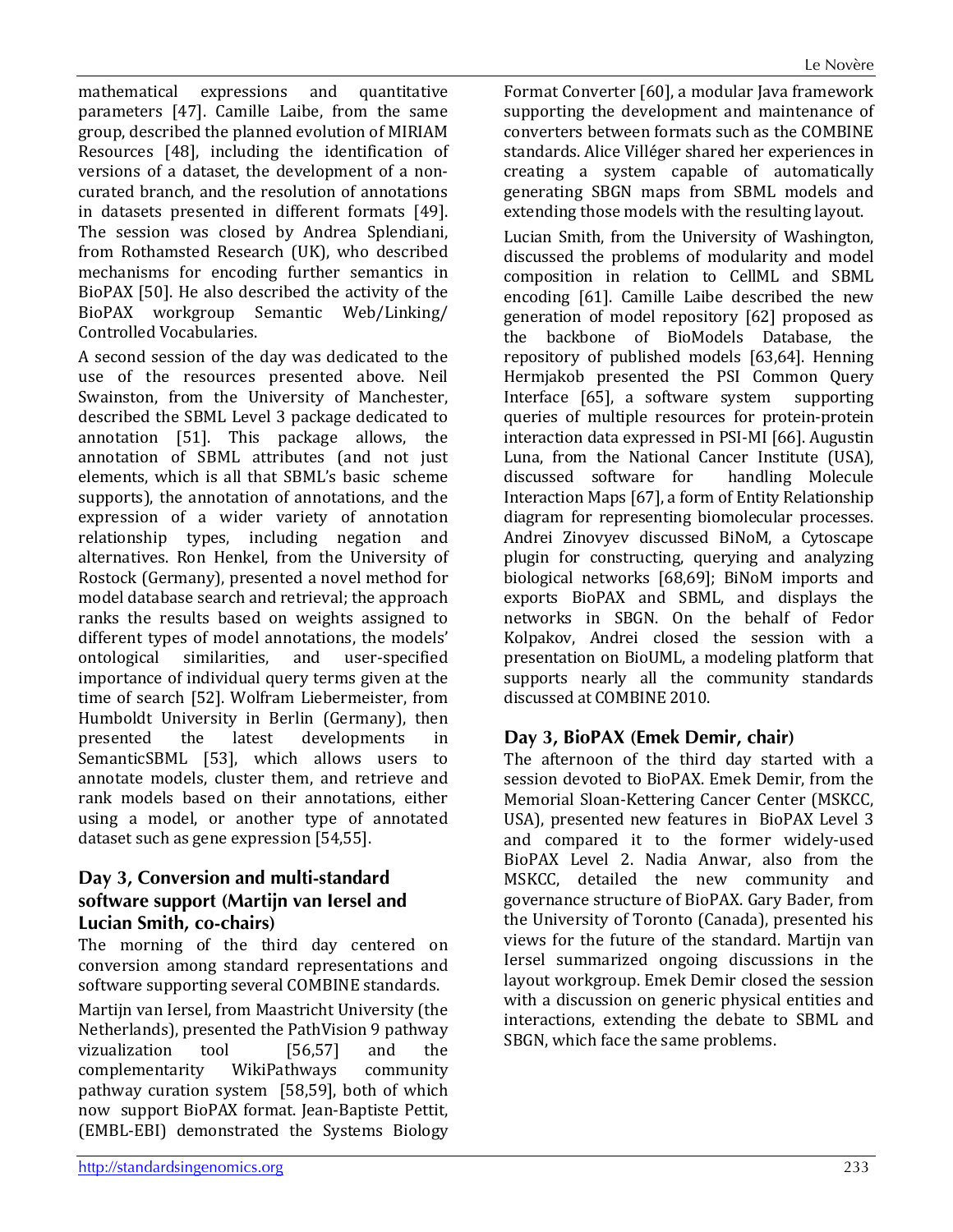mathematical expressions and quantitative parameters [47]. Camille Laibe, from the same group, described the planned evolution of MIRIAM Resources [48], including the identification of versions of a dataset, the development of a noncurated branch, and the resolution of annotations in datasets presented in different formats [49]. The session was closed by Andrea Splendiani, from Rothamsted Research (UK), who described mechanisms for encoding further semantics in BioPAX [50]. He also described the activity of the BioPAX workgroup Semantic Web/Linking/ Controlled Vocabularies.

A second session of the day was dedicated to the use of the resources presented above. Neil Swainston, from the University of Manchester, described the SBML Level 3 package dedicated to annotation [51]. This package allows, the annotation of SBML attributes (and not just elements, which is all that SBML's basic scheme supports), the annotation of annotations, and the expression of a wider variety of annotation relationship types, including negation and alternatives. Ron Henkel, from the University of Rostock (Germany), presented a novel method for model database search and retrieval; the approach ranks the results based on weights assigned to different types of model annotations, the models'<br>ontological similarities, and user-specified user-specified importance of individual query terms given at the time of search [52]. Wolfram Liebermeister, from Humboldt University in Berlin (Germany), then<br>presented the latest developments in developments SemanticSBML [53], which allows users to annotate models, cluster them, and retrieve and rank models based on their annotations, either using a model, or another type of annotated dataset such as gene expression [54,55].

#### **Day 3, Conversion and multi-standard software support (Martijn van Iersel and Lucian Smith, co-chairs)**

The morning of the third day centered on conversion among standard representations and software supporting several COMBINE standards.

Martijn van Iersel, from Maastricht University (the Netherlands), presented the PathVision 9 pathway<br>vizualization tool [56,57] and the vizualization tool [56,57] and the<br>complementarity WikiPathways community complementarity pathway curation system [58,59], both of which now support BioPAX format. Jean-Baptiste Pettit, (EMBL-EBI) demonstrated the Systems Biology

Format Converter [60], a modular Java framework supporting the development and maintenance of converters between formats such as the COMBINE standards. Alice Villéger shared her experiences in creating a system capable of automatically generating SBGN maps from SBML models and extending those models with the resulting layout.

Lucian Smith, from the University of Washington, discussed the problems of modularity and model composition in relation to CellML and SBML encoding [61]. Camille Laibe described the new generation of model repository [62] proposed as the backbone of BioModels Database, the repository of published models [63,64]. Henning Hermjakob presented the PSI Common Query<br>Interface [65], a software system supporting Interface  $[65]$ , a software system queries of multiple resources for protein-protein interaction data expressed in PSI-MI [66]. Augustin Luna, from the National Cancer Institute (USA), discussed software for Interaction Maps [67], a form of Entity Relationship diagram for representing biomolecular processes. Andrei Zinovyev discussed BiNoM, a Cytoscape plugin for constructing, querying and analyzing biological networks [68,69]; BiNoM imports and exports BioPAX and SBML, and displays the networks in SBGN. On the behalf of Fedor Kolpakov, Andrei closed the session with a presentation on BioUML, a modeling platform that supports nearly all the community standards discussed at COMBINE 2010.

### **Day 3, BioPAX (Emek Demir, chair)**

The afternoon of the third day started with a session devoted to BioPAX. Emek Demir, from the Memorial Sloan-Kettering Cancer Center (MSKCC, USA), presented new features in BioPAX Level 3 and compared it to the former widely-used BioPAX Level 2. Nadia Anwar, also from the MSKCC, detailed the new community and governance structure of BioPAX. Gary Bader, from the University of Toronto (Canada), presented his views for the future of the standard. Martijn van Iersel summarized ongoing discussions in the layout workgroup. Emek Demir closed the session with a discussion on generic physical entities and interactions, extending the debate to SBML and SBGN, which face the same problems.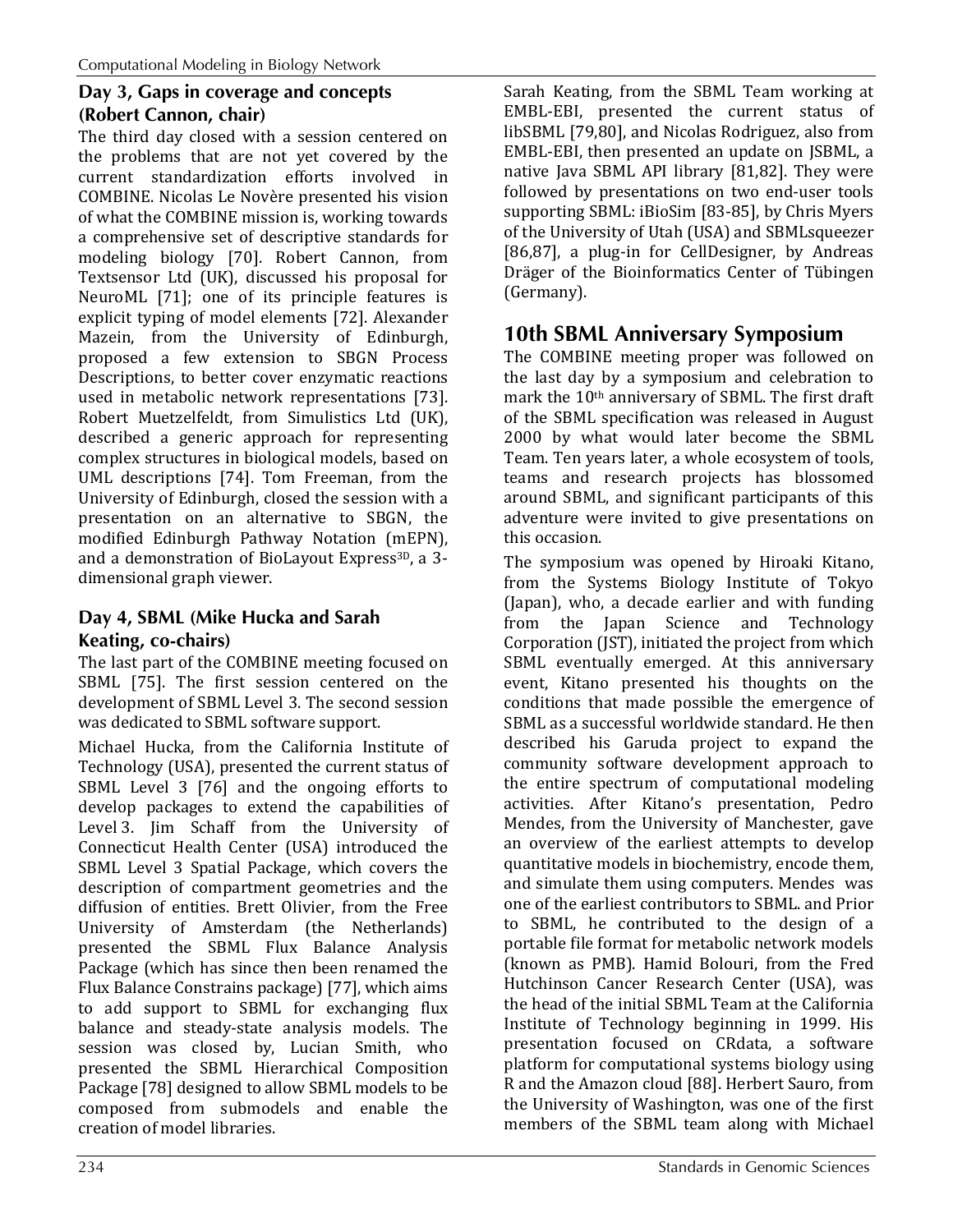### **Day 3, Gaps in coverage and concepts (Robert Cannon, chair)**

The third day closed with a session centered on the problems that are not yet covered by the current standardization efforts involved in COMBINE. Nicolas Le Novère presented his vision of what the COMBINE mission is, working towards a comprehensive set of descriptive standards for modeling biology [70]. Robert Cannon, from Textsensor Ltd (UK), discussed his proposal for NeuroML [71]; one of its principle features is explicit typing of model elements [72]. Alexander Mazein, from the University of Edinburgh, proposed a few extension to SBGN Process Descriptions, to better cover enzymatic reactions used in metabolic network representations [73]. Robert Muetzelfeldt, from Simulistics Ltd (UK), described a generic approach for representing complex structures in biological models, based on UML descriptions [74]. Tom Freeman, from the University of Edinburgh, closed the session with a presentation on an alternative to SBGN, the modified Edinburgh Pathway Notation (mEPN), and a demonstration of BioLayout Express<sup>3D</sup>, a 3dimensional graph viewer.

#### **Day 4, SBML (Mike Hucka and Sarah Keating, co-chairs)**

The last part of the COMBINE meeting focused on SBML [75]. The first session centered on the development of SBML Level 3. The second session was dedicated to SBML software support.

Michael Hucka, from the California Institute of Technology (USA), presented the current status of SBML Level 3 [76] and the ongoing efforts to develop packages to extend the capabilities of Level 3. Jim Schaff from the University of Connecticut Health Center (USA) introduced the SBML Level 3 Spatial Package, which covers the description of compartment geometries and the diffusion of entities. Brett Olivier, from the Free University of Amsterdam (the Netherlands) presented the SBML Flux Balance Analysis Package (which has since then been renamed the Flux Balance Constrains package) [77], which aims to add support to SBML for exchanging flux balance and steady-state analysis models. The session was closed by, Lucian Smith, who presented the SBML Hierarchical Composition Package [78] designed to allow SBML models to be composed from submodels and enable the creation of model libraries.

Sarah Keating, from the SBML Team working at EMBL-EBI, presented the current status of libSBML [79,80], and Nicolas Rodriguez, also from EMBL-EBI, then presented an update on JSBML, a native Java SBML API library [81,82]. They were followed by presentations on two end-user tools supporting SBML: iBioSim [83-85], by Chris Myers of the University of Utah (USA) and SBMLsqueezer [86,87], a plug-in for CellDesigner, by Andreas Dräger of the Bioinformatics Center of Tübingen (Germany).

## **10th SBML Anniversary Symposium**

The COMBINE meeting proper was followed on the last day by a symposium and celebration to mark the 10th anniversary of SBML. The first draft of the SBML specification was released in August 2000 by what would later become the SBML Team. Ten years later, a whole ecosystem of tools, teams and research projects has blossomed around SBML, and significant participants of this adventure were invited to give presentations on this occasion.

The symposium was opened by Hiroaki Kitano, from the Systems Biology Institute of Tokyo (Japan), who, a decade earlier and with funding from the Japan Science and Technology Corporation (JST), initiated the project from which SBML eventually emerged. At this anniversary event, Kitano presented his thoughts on the conditions that made possible the emergence of SBML as a successful worldwide standard. He then described his Garuda project to expand the community software development approach to the entire spectrum of computational modeling activities. After Kitano's presentation, Pedro Mendes, from the University of Manchester, gave an overview of the earliest attempts to develop quantitative models in biochemistry, encode them, and simulate them using computers. Mendes was one of the earliest contributors to SBML. and Prior to SBML, he contributed to the design of a portable file format for metabolic network models (known as PMB). Hamid Bolouri, from the Fred Hutchinson Cancer Research Center (USA), was the head of the initial SBML Team at the California Institute of Technology beginning in 1999. His presentation focused on CRdata, a software platform for computational systems biology using R and the Amazon cloud [88]. Herbert Sauro, from the University of Washington, was one of the first members of the SBML team along with Michael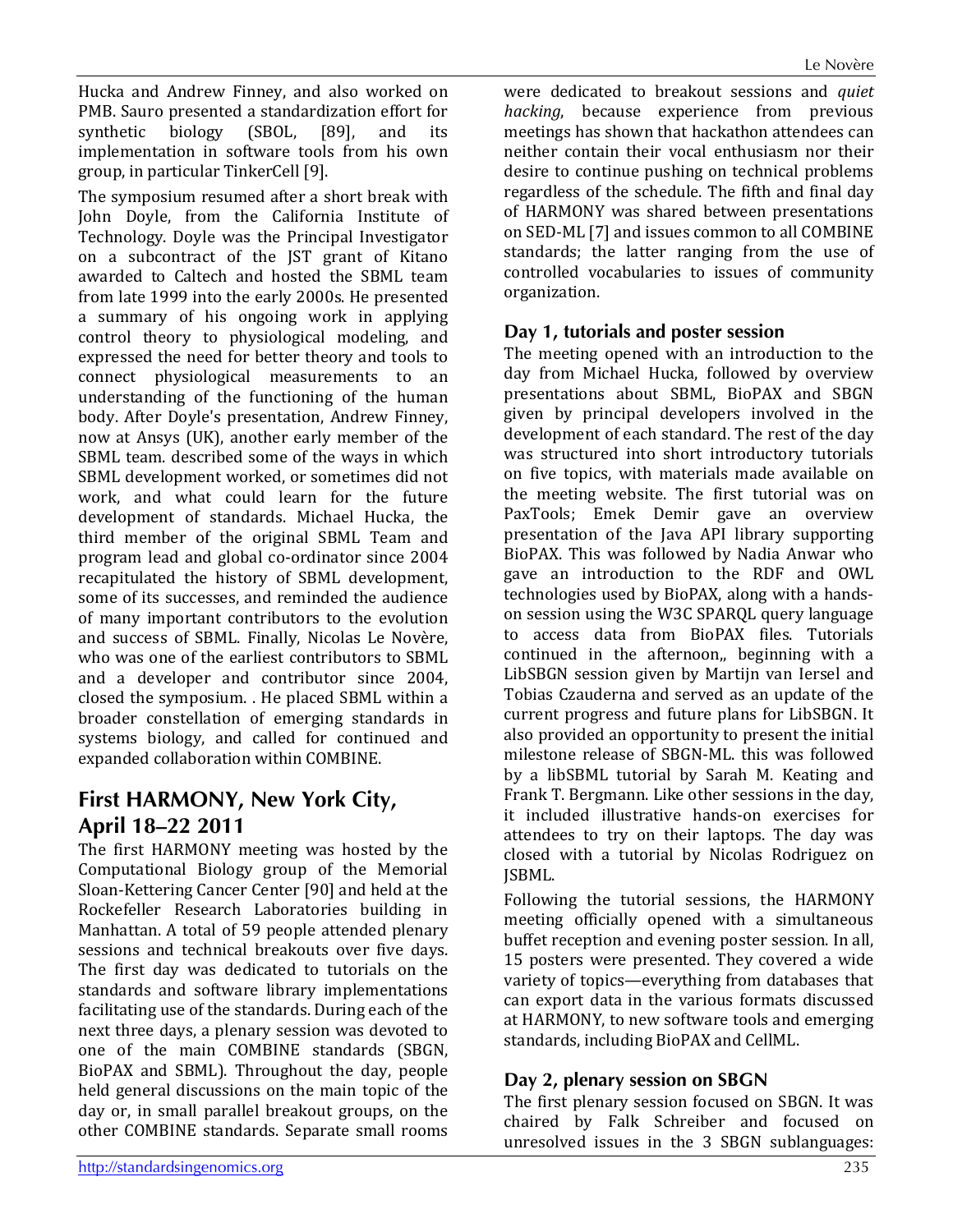Hucka and Andrew Finney, and also worked on PMB. Sauro presented a standardization effort for<br>synthetic biology (SBOL, [89], and its biology (SBOL, [89], and its implementation in software tools from his own group, in particular TinkerCell [9].

The symposium resumed after a short break with John Doyle, from the California Institute of Technology. Doyle was the Principal Investigator on a subcontract of the JST grant of Kitano awarded to Caltech and hosted the SBML team from late 1999 into the early 2000s. He presented a summary of his ongoing work in applying control theory to physiological modeling, and expressed the need for better theory and tools to connect physiological measurements to an understanding of the functioning of the human body. After Doyle's presentation, Andrew Finney, now at Ansys (UK), another early member of the SBML team. described some of the ways in which SBML development worked, or sometimes did not work, and what could learn for the future development of standards. Michael Hucka, the third member of the original SBML Team and program lead and global co-ordinator since 2004 recapitulated the history of SBML development, some of its successes, and reminded the audience of many important contributors to the evolution and success of SBML. Finally, Nicolas Le Novère, who was one of the earliest contributors to SBML and a developer and contributor since 2004, closed the symposium. . He placed SBML within a broader constellation of emerging standards in systems biology, and called for continued and expanded collaboration within COMBINE.

# **First HARMONY, New York City, April 18–22 2011**

The first HARMONY meeting was hosted by the Computational Biology group of the Memorial Sloan-Kettering Cancer Center [90] and held at the Rockefeller Research Laboratories building in Manhattan. A total of 59 people attended plenary sessions and technical breakouts over five days. The first day was dedicated to tutorials on the standards and software library implementations facilitating use of the standards. During each of the next three days, a plenary session was devoted to one of the main COMBINE standards (SBGN, BioPAX and SBML). Throughout the day, people held general discussions on the main topic of the day or, in small parallel breakout groups, on the other COMBINE standards. Separate small rooms

were dedicated to breakout sessions and *quiet hacking*, because experience from previous meetings has shown that hackathon attendees can neither contain their vocal enthusiasm nor their desire to continue pushing on technical problems regardless of the schedule. The fifth and final day of HARMONY was shared between presentations on SED-ML [7] and issues common to all COMBINE standards; the latter ranging from the use of controlled vocabularies to issues of community organization.

#### **Day 1, tutorials and poster session**

The meeting opened with an introduction to the day from Michael Hucka, followed by overview presentations about SBML, BioPAX and SBGN given by principal developers involved in the development of each standard. The rest of the day was structured into short introductory tutorials on five topics, with materials made available on the meeting website. The first tutorial was on PaxTools; Emek Demir gave an overview presentation of the Java API library supporting BioPAX. This was followed by Nadia Anwar who gave an introduction to the RDF and OWL technologies used by BioPAX, along with a handson session using the W3C SPARQL query language to access data from BioPAX files. Tutorials continued in the afternoon,, beginning with a LibSBGN session given by Martijn van Iersel and Tobias Czauderna and served as an update of the current progress and future plans for LibSBGN. It also provided an opportunity to present the initial milestone release of SBGN-ML. this was followed by a libSBML tutorial by Sarah M. Keating and Frank T. Bergmann. Like other sessions in the day, it included illustrative hands-on exercises for attendees to try on their laptops. The day was closed with a tutorial by Nicolas Rodriguez on JSBML.

Following the tutorial sessions, the HARMONY meeting officially opened with a simultaneous buffet reception and evening poster session. In all, 15 posters were presented. They covered a wide variety of topics—everything from databases that can export data in the various formats discussed at HARMONY, to new software tools and emerging standards, including BioPAX and CellML.

#### **Day 2, plenary session on SBGN**

The first plenary session focused on SBGN. It was chaired by Falk Schreiber and focused on unresolved issues in the 3 SBGN sublanguages: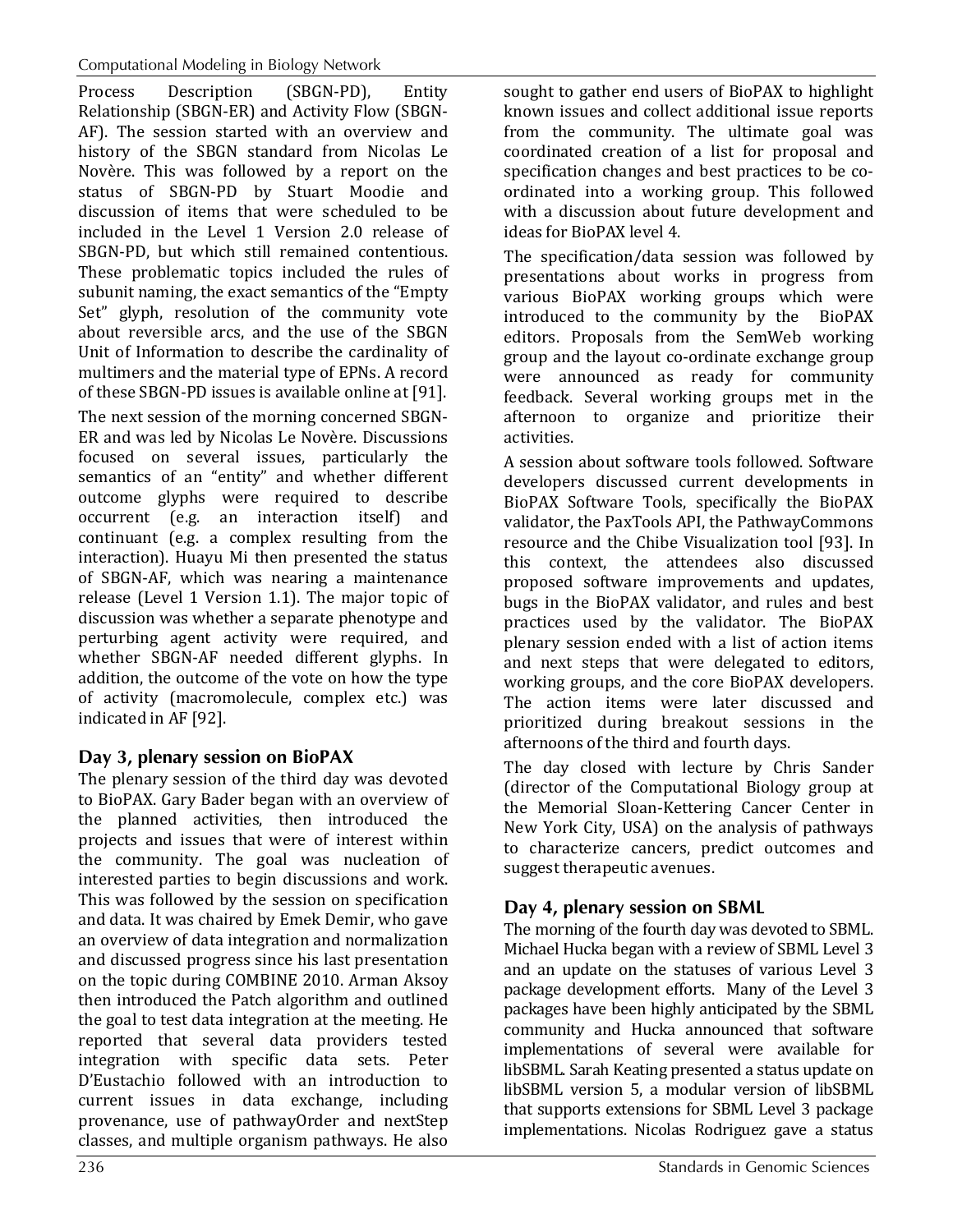Process Description (SBGN-PD), Entity Relationship (SBGN-ER) and Activity Flow (SBGN-AF). The session started with an overview and history of the SBGN standard from Nicolas Le Novère. This was followed by a report on the status of SBGN-PD by Stuart Moodie and discussion of items that were scheduled to be included in the Level 1 Version 2.0 release of SBGN-PD, but which still remained contentious. These problematic topics included the rules of subunit naming, the exact semantics of the "Empty Set" glyph, resolution of the community vote about reversible arcs, and the use of the SBGN Unit of Information to describe the cardinality of multimers and the material type of EPNs. A record of these SBGN-PD issues is available online at [91].

The next session of the morning concerned SBGN-ER and was led by Nicolas Le Novère. Discussions focused on several issues, particularly the semantics of an "entity" and whether different outcome glyphs were required to describe occurrent (e.g. an interaction itself) and continuant (e.g. a complex resulting from the interaction). Huayu Mi then presented the status of SBGN-AF, which was nearing a maintenance release (Level 1 Version 1.1). The major topic of discussion was whether a separate phenotype and perturbing agent activity were required, and whether SBGN-AF needed different glyphs. In addition, the outcome of the vote on how the type of activity (macromolecule, complex etc.) was indicated in AF [92].

### **Day 3, plenary session on BioPAX**

The plenary session of the third day was devoted to BioPAX. Gary Bader began with an overview of the planned activities, then introduced the projects and issues that were of interest within the community. The goal was nucleation of interested parties to begin discussions and work. This was followed by the session on specification and data. It was chaired by Emek Demir, who gave an overview of data integration and normalization and discussed progress since his last presentation on the topic during COMBINE 2010. Arman Aksoy then introduced the Patch algorithm and outlined the goal to test data integration at the meeting. He reported that several data providers tested integration with specific data sets. Peter D'Eustachio followed with an introduction to current issues in data exchange, including provenance, use of pathwayOrder and nextStep classes, and multiple organism pathways. He also

sought to gather end users of BioPAX to highlight known issues and collect additional issue reports from the community. The ultimate goal was coordinated creation of a list for proposal and specification changes and best practices to be coordinated into a working group. This followed with a discussion about future development and ideas for BioPAX level 4.

The specification/data session was followed by presentations about works in progress from various BioPAX working groups which were introduced to the community by the BioPAX editors. Proposals from the SemWeb working group and the layout co-ordinate exchange group were announced as ready for community feedback. Several working groups met in the afternoon to organize and prioritize their activities.

A session about software tools followed. Software developers discussed current developments in BioPAX Software Tools, specifically the BioPAX validator, the PaxTools API, the PathwayCommons resource and the Chibe Visualization tool [93]. In this context, the attendees also discussed proposed software improvements and updates, bugs in the BioPAX validator, and rules and best practices used by the validator. The BioPAX plenary session ended with a list of action items and next steps that were delegated to editors, working groups, and the core BioPAX developers. The action items were later discussed and prioritized during breakout sessions in the afternoons of the third and fourth days.

The day closed with lecture by Chris Sander (director of the Computational Biology group at the Memorial Sloan-Kettering Cancer Center in New York City, USA) on the analysis of pathways to characterize cancers, predict outcomes and suggest therapeutic avenues.

# **Day 4, plenary session on SBML**

The morning of the fourth day was devoted to SBML. Michael Hucka began with a review of SBML Level 3 and an update on the statuses of various Level 3 package development efforts. Many of the Level 3 packages have been highly anticipated by the SBML community and Hucka announced that software implementations of several were available for libSBML. Sarah Keating presented a status update on libSBML version 5, a modular version of libSBML that supports extensions for SBML Level 3 package implementations. Nicolas Rodriguez gave a status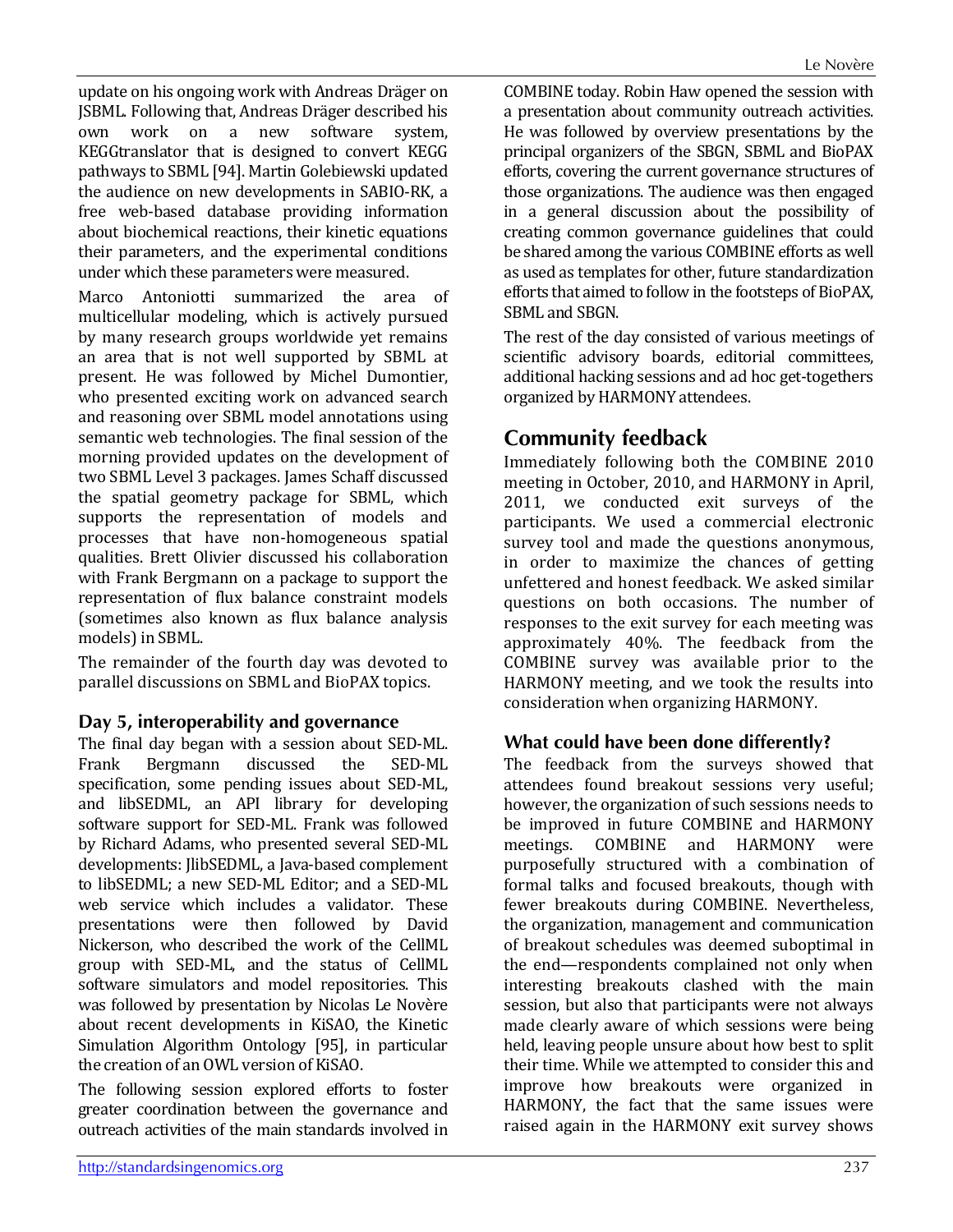update on his ongoing work with Andreas Dräger on JSBML. Following that, Andreas Dräger described his a new KEGGtranslator that is designed to convert KEGG pathways to SBML [94]. Martin Golebiewski updated the audience on new developments in SABIO-RK, a free web-based database providing information about biochemical reactions, their kinetic equations their parameters, and the experimental conditions under which these parameters were measured.

Marco Antoniotti summarized the area of multicellular modeling, which is actively pursued by many research groups worldwide yet remains an area that is not well supported by SBML at present. He was followed by Michel Dumontier, who presented exciting work on advanced search and reasoning over SBML model annotations using semantic web technologies. The final session of the morning provided updates on the development of two SBML Level 3 packages. James Schaff discussed the spatial geometry package for SBML, which supports the representation of models and processes that have non-homogeneous spatial qualities. Brett Olivier discussed his collaboration with Frank Bergmann on a package to support the representation of flux balance constraint models (sometimes also known as flux balance analysis models) in SBML.

The remainder of the fourth day was devoted to parallel discussions on SBML and BioPAX topics.

#### **Day 5, interoperability and governance**

The final day began with a session about SED-ML.<br>Frank Bergmann discussed the SED-ML Bergmann specification, some pending issues about SED-ML, and libSEDML, an API library for developing software support for SED-ML. Frank was followed by Richard Adams, who presented several SED-ML developments: JlibSEDML, a Java-based complement to libSEDML; a new SED-ML Editor; and a SED-ML web service which includes a validator. These presentations were then followed by David Nickerson, who described the work of the CellML group with SED-ML, and the status of CellML software simulators and model repositories. This was followed by presentation by Nicolas Le Novère about recent developments in KiSAO, the Kinetic Simulation Algorithm Ontology [95], in particular the creation of an OWL version of KiSAO.

The following session explored efforts to foster greater coordination between the governance and outreach activities of the main standards involved in

COMBINE today. Robin Haw opened the session with a presentation about community outreach activities. He was followed by overview presentations by the principal organizers of the SBGN, SBML and BioPAX efforts, covering the current governance structures of those organizations. The audience was then engaged in a general discussion about the possibility of creating common governance guidelines that could be shared among the various COMBINE efforts as well as used as templates for other, future standardization efforts that aimed to follow in the footsteps of BioPAX, SBML and SBGN.

The rest of the day consisted of various meetings of scientific advisory boards, editorial committees, additional hacking sessions and ad hoc get-togethers organized by HARMONY attendees.

# **Community feedback**

Immediately following both the COMBINE 2010 meeting in October, 2010, and HARMONY in April, 2011, we conducted exit surveys of the participants. We used a commercial electronic survey tool and made the questions anonymous, in order to maximize the chances of getting unfettered and honest feedback. We asked similar questions on both occasions. The number of responses to the exit survey for each meeting was approximately 40%. The feedback from the COMBINE survey was available prior to the HARMONY meeting, and we took the results into consideration when organizing HARMONY.

#### **What could have been done differently?**

The feedback from the surveys showed that attendees found breakout sessions very useful; however, the organization of such sessions needs to be improved in future COMBINE and HARMONY<br>meetings. COMBINE and HARMONY were and HARMONY purposefully structured with a combination of formal talks and focused breakouts, though with fewer breakouts during COMBINE. Nevertheless, the organization, management and communication of breakout schedules was deemed suboptimal in the end—respondents complained not only when interesting breakouts clashed with the main session, but also that participants were not always made clearly aware of which sessions were being held, leaving people unsure about how best to split their time. While we attempted to consider this and improve how breakouts were organized in HARMONY, the fact that the same issues were raised again in the HARMONY exit survey shows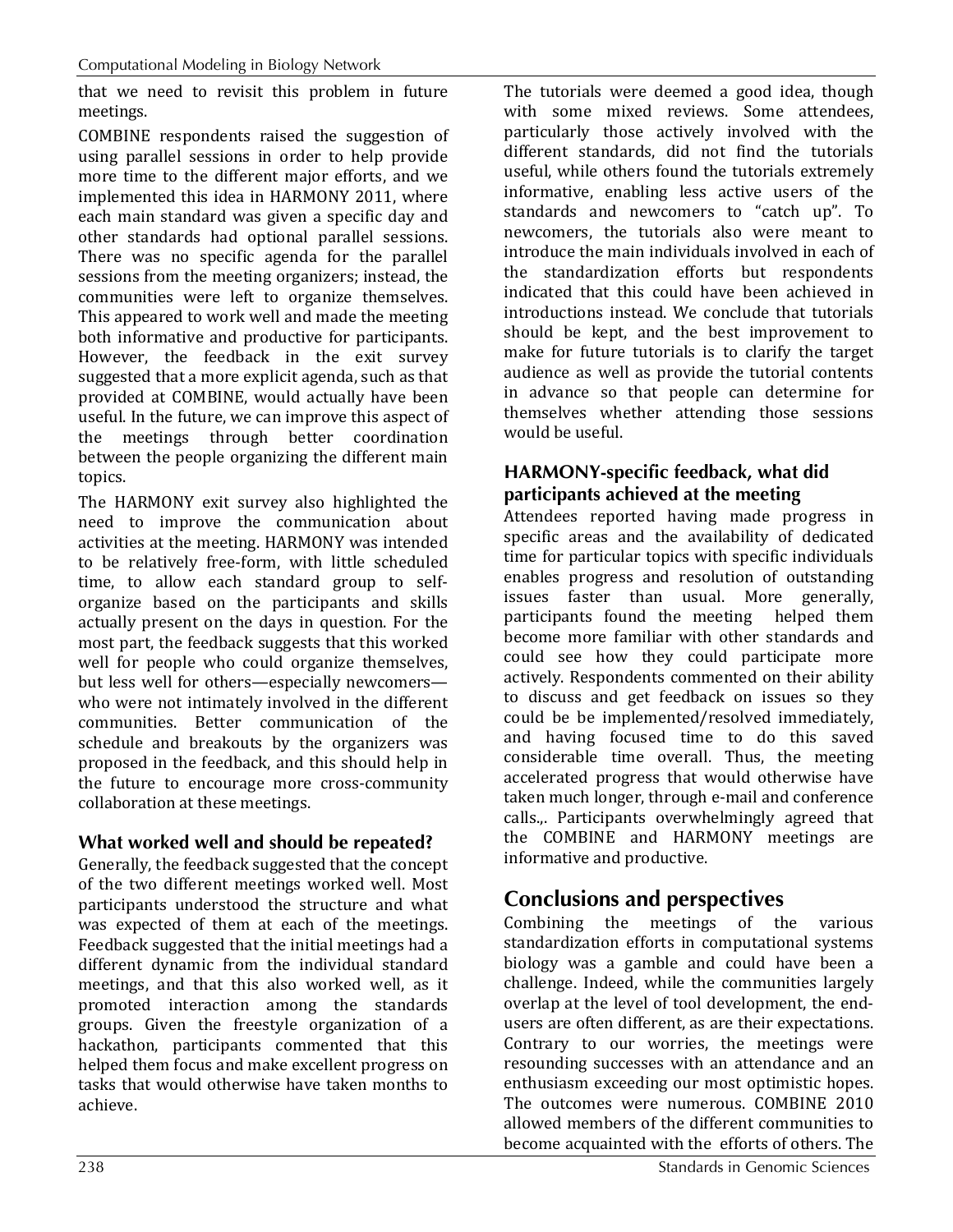that we need to revisit this problem in future meetings.

COMBINE respondents raised the suggestion of using parallel sessions in order to help provide more time to the different major efforts, and we implemented this idea in HARMONY 2011, where each main standard was given a specific day and other standards had optional parallel sessions. There was no specific agenda for the parallel sessions from the meeting organizers; instead, the communities were left to organize themselves. This appeared to work well and made the meeting both informative and productive for participants. However, the feedback in the exit survey suggested that a more explicit agenda, such as that provided at COMBINE, would actually have been useful. In the future, we can improve this aspect of the meetings through better coordination between the people organizing the different main topics.

The HARMONY exit survey also highlighted the need to improve the communication about activities at the meeting. HARMONY was intended to be relatively free-form, with little scheduled time, to allow each standard group to selforganize based on the participants and skills actually present on the days in question. For the most part, the feedback suggests that this worked well for people who could organize themselves, but less well for others—especially newcomers who were not intimately involved in the different communities. Better communication of the schedule and breakouts by the organizers was proposed in the feedback, and this should help in the future to encourage more cross-community collaboration at these meetings.

### **What worked well and should be repeated?**

Generally, the feedback suggested that the concept of the two different meetings worked well. Most participants understood the structure and what was expected of them at each of the meetings. Feedback suggested that the initial meetings had a different dynamic from the individual standard meetings, and that this also worked well, as it promoted interaction among the standards groups. Given the freestyle organization of a hackathon, participants commented that this helped them focus and make excellent progress on tasks that would otherwise have taken months to achieve.

The tutorials were deemed a good idea, though with some mixed reviews. Some attendees, particularly those actively involved with the different standards, did not find the tutorials useful, while others found the tutorials extremely informative, enabling less active users of the standards and newcomers to "catch up". To newcomers, the tutorials also were meant to introduce the main individuals involved in each of the standardization efforts but respondents indicated that this could have been achieved in introductions instead. We conclude that tutorials should be kept, and the best improvement to make for future tutorials is to clarify the target audience as well as provide the tutorial contents in advance so that people can determine for themselves whether attending those sessions would be useful.

### **HARMONY-specific feedback, what did participants achieved at the meeting**

Attendees reported having made progress in specific areas and the availability of dedicated time for particular topics with specific individuals enables progress and resolution of outstanding issues faster than usual. More generally, participants found the meeting helped them become more familiar with other standards and could see how they could participate more actively. Respondents commented on their ability to discuss and get feedback on issues so they could be be implemented/resolved immediately, and having focused time to do this saved considerable time overall. Thus, the meeting accelerated progress that would otherwise have taken much longer, through e-mail and conference calls.,. Participants overwhelmingly agreed that the COMBINE and HARMONY meetings are informative and productive.

# **Conclusions and perspectives**

Combining the meetings of the various standardization efforts in computational systems biology was a gamble and could have been a challenge. Indeed, while the communities largely overlap at the level of tool development, the endusers are often different, as are their expectations. Contrary to our worries, the meetings were resounding successes with an attendance and an enthusiasm exceeding our most optimistic hopes. The outcomes were numerous. COMBINE 2010 allowed members of the different communities to become acquainted with the efforts of others. The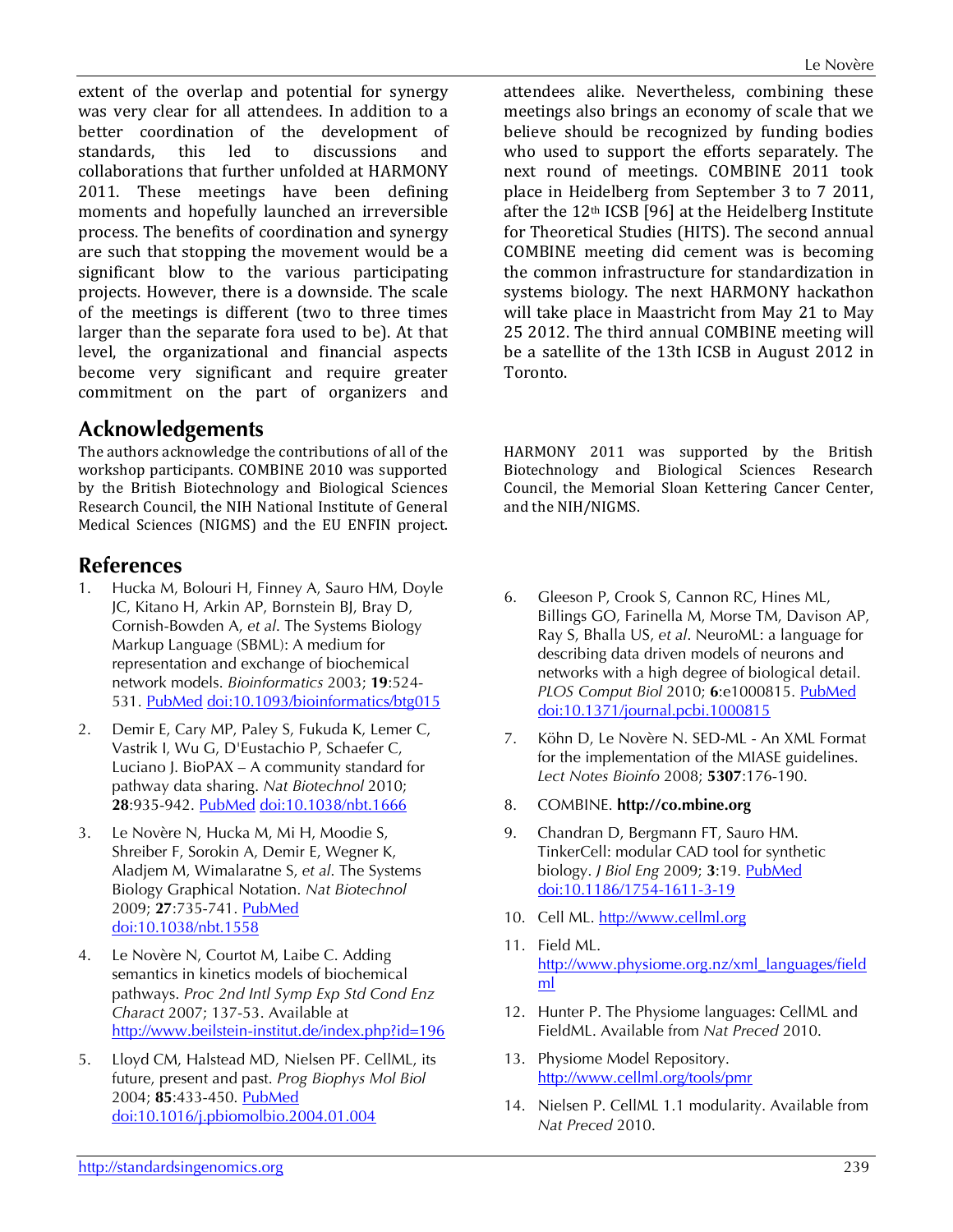extent of the overlap and potential for synergy was very clear for all attendees. In addition to a better coordination of the development of<br>standards, this led to discussions and standards, this led to discussions and collaborations that further unfolded at HARMONY 2011. These meetings have been defining moments and hopefully launched an irreversible process. The benefits of coordination and synergy are such that stopping the movement would be a significant blow to the various participating projects. However, there is a downside. The scale of the meetings is different (two to three times larger than the separate fora used to be). At that level, the organizational and financial aspects become very significant and require greater commitment on the part of organizers and

### **Acknowledgements**

The authors acknowledge the contributions of all of the workshop participants. COMBINE 2010 was supported by the British Biotechnology and Biological Sciences Research Council, the NIH National Institute of General Medical Sciences (NIGMS) and the EU ENFIN project.

#### **References**

- 1. Hucka M, Bolouri H, Finney A, Sauro HM, Doyle JC, Kitano H, Arkin AP, Bornstein BJ, Bray D, Cornish-Bowden A, *et al*. The Systems Biology Markup Language (SBML): A medium for representation and exchange of biochemical network models. *Bioinformatics* 2003; **19**:524- 531. [PubMed](http://www.ncbi.nlm.nih.gov/entrez/query.fcgi?cmd=Retrieve&db=PubMed&list_uids=12611808&dopt=Abstract) [doi:10.1093/bioinformatics/btg015](http://dx.doi.org/10.1093/bioinformatics/btg015)
- 2. Demir E, Cary MP, Paley S, Fukuda K, Lemer C, Vastrik I, Wu G, D'Eustachio P, Schaefer C, Luciano J. BioPAX – A community standard for pathway data sharing. *Nat Biotechnol* 2010; **28**:935-942. [PubMed](http://www.ncbi.nlm.nih.gov/entrez/query.fcgi?cmd=Retrieve&db=PubMed&list_uids=20829833&dopt=Abstract) [doi:10.1038/nbt.1666](http://dx.doi.org/10.1038/nbt.1666)
- 3. Le Novère N, Hucka M, Mi H, Moodie S, Shreiber F, Sorokin A, Demir E, Wegner K, Aladjem M, Wimalaratne S, *et al*. The Systems Biology Graphical Notation. *Nat Biotechnol* 2009; **27**:735-741. [PubMed](http://www.ncbi.nlm.nih.gov/entrez/query.fcgi?cmd=Retrieve&db=PubMed&list_uids=19668183&dopt=Abstract) [doi:10.1038/nbt.1558](http://dx.doi.org/10.1038/nbt.1558)
- 4. Le Novère N, Courtot M, Laibe C. Adding semantics in kinetics models of biochemical pathways. *Proc 2nd Intl Symp Exp Std Cond Enz Charact* 2007; 137-53. Available at <http://www.beilstein-institut.de/index.php?id=196>
- 5. Lloyd CM, Halstead MD, Nielsen PF. CellML, its future, present and past. *Prog Biophys Mol Biol* 2004; **85**:433-450. [PubMed](http://www.ncbi.nlm.nih.gov/entrez/query.fcgi?cmd=Retrieve&db=PubMed&list_uids=15142756&dopt=Abstract) [doi:10.1016/j.pbiomolbio.2004.01.004](http://dx.doi.org/10.1016/j.pbiomolbio.2004.01.004)

attendees alike. Nevertheless, combining these meetings also brings an economy of scale that we believe should be recognized by funding bodies who used to support the efforts separately. The next round of meetings. COMBINE 2011 took place in Heidelberg from September 3 to 7 2011, after the 12<sup>th</sup> ICSB [96] at the Heidelberg Institute for Theoretical Studies (HITS). The second annual COMBINE meeting did cement was is becoming the common infrastructure for standardization in systems biology. The next HARMONY hackathon will take place in Maastricht from May 21 to May 25 2012. The third annual COMBINE meeting will be a satellite of the 13th ICSB in August 2012 in Toronto.

HARMONY 2011 was supported by the British Biotechnology and Biological Sciences Research Council, the Memorial Sloan Kettering Cancer Center, and the NIH/NIGMS.

- 6. Gleeson P, Crook S, Cannon RC, Hines ML, Billings GO, Farinella M, Morse TM, Davison AP, Ray S, Bhalla US, *et al*. NeuroML: a language for describing data driven models of neurons and networks with a high degree of biological detail. *PLOS Comput Biol* 2010; **6**:e1000815. [PubMed](http://www.ncbi.nlm.nih.gov/entrez/query.fcgi?cmd=Retrieve&db=PubMed&list_uids=20585541&dopt=Abstract) [doi:10.1371/journal.pcbi.1000815](http://dx.doi.org/10.1371/journal.pcbi.1000815)
- 7. Köhn D, Le Novère N. SED-ML An XML Format for the implementation of the MIASE guidelines. *Lect Notes Bioinfo* 2008; **5307**:176-190.
- 8. COMBINE. **http://co.mbine.org**
- 9. Chandran D, Bergmann FT, Sauro HM. TinkerCell: modular CAD tool for synthetic biology. *J Biol Eng* 2009; **3**:19. [PubMed](http://www.ncbi.nlm.nih.gov/entrez/query.fcgi?cmd=Retrieve&db=PubMed&list_uids=19874625&dopt=Abstract) [doi:10.1186/1754-1611-3-19](http://dx.doi.org/10.1186/1754-1611-3-19)
- 10. Cell ML. [http://www.cellml.org](http://www.cellml.org/)
- 11. Field ML. http:// [www.physiome.org.nz/xml\\_languages/field](http://www.physiome.org.nz/xml_languages/fieldml) [ml](http://www.physiome.org.nz/xml_languages/fieldml)
- 12. Hunter P. The Physiome languages: CellML and FieldML. Available from *Nat Preced* 2010.
- 13. Physiome Model Repository. http:// [www.cellml.org/tools/pmr](http://www.cellml.org/tools/pmr)
- 14. Nielsen P. CellML 1.1 modularity. Available from *Nat Preced* 2010.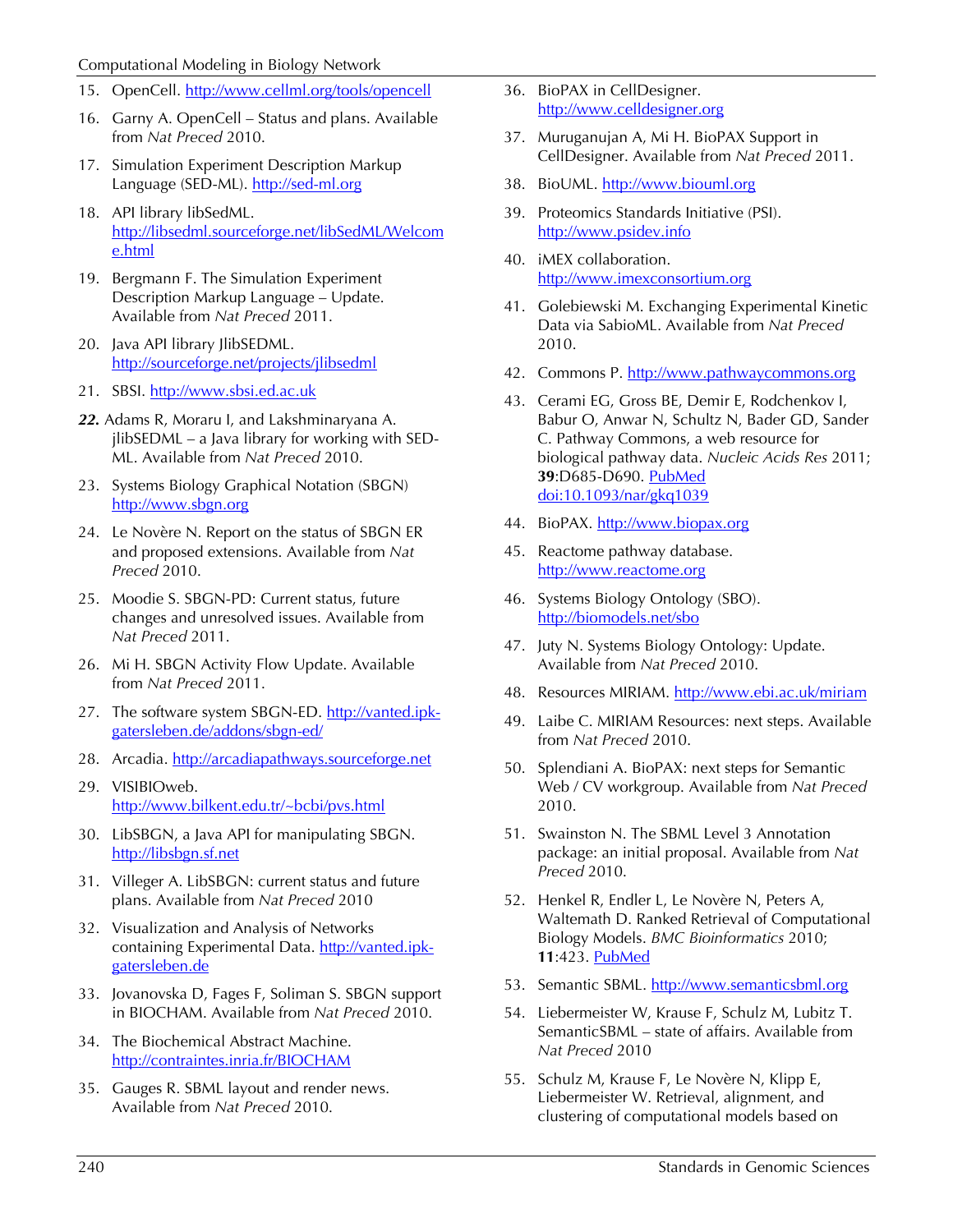#### Computational Modeling in Biology Network

- 15. OpenCell. http://[www.cellml.org/tools/opencell](http://www.cellml.org/tools/opencell)
- 16. Garny A. OpenCell Status and plans. Available from *Nat Preced* 2010.
- 17. Simulation Experiment Description Markup Language (SED-ML). [http://sed-ml.org](http://sed-ml.org/)
- 18. API library libSedML. http:// [libsedml.sourceforge.net/libSedML/Welcom](http://libsedml.sourceforge.net/libSedML/Welcome.html) [e.html](http://libsedml.sourceforge.net/libSedML/Welcome.html)
- 19. Bergmann F. The Simulation Experiment Description Markup Language – Update. Available from *Nat Preced* 2011.
- 20. Java API library JlibSEDML. <http://sourceforge.net/projects/jlibsedml>
- 21. SBSI. <u>http://[www.sbsi.ed.ac.uk](http://www.sbsi.ed.ac.uk/)</u>
- *22.* Adams R, Moraru I, and Lakshminaryana A. jlibSEDML – a Java library for working with SED-ML. Available from *Nat Preced* 2010.
- 23. Systems Biology Graphical Notation (SBGN) http:// [www.sbgn.org](http://www.sbgn.org/)
- 24. Le Novère N. Report on the status of SBGN ER and proposed extensions. Available from *Nat Preced* 2010.
- 25. Moodie S. SBGN-PD: Current status, future changes and unresolved issues. Available from *Nat Preced* 2011.
- 26. Mi H. SBGN Activity Flow Update. Available from *Nat Preced* 2011.
- 27. The software system SBGN-ED. [http://vanted.ipk](http://vanted.ipk-gatersleben.de/addons/sbgn-ed/)[gatersleben.de/addons/sbgn-ed/](http://vanted.ipk-gatersleben.de/addons/sbgn-ed/)
- 28. Arcadia. [http://arcadiapathways.sourceforge.net](http://arcadiapathways.sourceforge.net/)
- 29. VISIBIOweb. <http://www.bilkent.edu.tr/~bcbi/pvs.html>
- 30. LibSBGN, a Java API for manipulating SBGN. http:// [libsbgn.sf.net](http://libsbgn.sf.net/)
- 31. Villeger A. LibSBGN: current status and future plans. Available from *Nat Preced* 2010
- 32. Visualization and Analysis of Networks containing Experimental Data. <u>http://vanted.ipk-</u> [gatersleben.de](http://vanted.ipk-gatersleben.de/)
- 33. Jovanovska D, Fages F, Soliman S. SBGN support in BIOCHAM. Available from *Nat Preced* 2010.
- 34. The Biochemical Abstract Machine. http:// [contraintes.inria.fr/BIOCHAM](http://contraintes.inria.fr/BIOCHAM)
- 35. Gauges R. SBML layout and render news. Available from *Nat Preced* 2010.
- 36. BioPAX in CellDesigner. http:// [www.celldesigner.org](http://www.celldesigner.org/)
- 37. Muruganujan A, Mi H. BioPAX Support in CellDesigner. Available from *Nat Preced* 2011.
- 38. BioUML. [http://www.biouml.org](http://www.biouml.org/)
- 39. Proteomics Standards Initiative (PSI). [http://www.psidev.info](http://www.psidev.info/)
- 40. iMEX collaboration. http:// [www.imexconsortium.org](http://www.imexconsortium.org/)
- 41. Golebiewski M. Exchanging Experimental Kinetic Data via SabioML. Available from *Nat Preced* 2010.
- 42. Commons P. [http://www.pathwaycommons.org](http://www.pathwaycommons.org/)
- 43. Cerami EG, Gross BE, Demir E, Rodchenkov I, Babur O, Anwar N, Schultz N, Bader GD, Sander C. Pathway Commons, a web resource for biological pathway data. *Nucleic Acids Res* 2011; **39**:D685-D690. [PubMed](http://www.ncbi.nlm.nih.gov/entrez/query.fcgi?cmd=Retrieve&db=PubMed&list_uids=21071392&dopt=Abstract) [doi:10.1093/nar/gkq1039](http://dx.doi.org/10.1093/nar/gkq1039)
- 44. BioPAX. [http://www.biopax.org](http://www.biopax.org/)
- 45. Reactome pathway database. [http://www.reactome.org](http://www.reactome.org/)
- 46. Systems Biology Ontology (SBO). http:// [biomodels.net/sbo](http://biomodels.net/sbo)
- 47. Juty N. Systems Biology Ontology: Update. Available from *Nat Preced* 2010.
- 48. Resources MIRIAM. <u>http://[www.ebi.ac.uk/miriam](http://www.ebi.ac.uk/miriam)</u>
- 49. Laibe C. MIRIAM Resources: next steps. Available from *Nat Preced* 2010.
- 50. Splendiani A. BioPAX: next steps for Semantic Web / CV workgroup. Available from *Nat Preced* 2010.
- 51. Swainston N. The SBML Level 3 Annotation package: an initial proposal. Available from *Nat Preced* 2010.
- 52. Henkel R, Endler L, Le Novère N, Peters A, Waltemath D. Ranked Retrieval of Computational Biology Models. *BMC Bioinformatics* 2010; **11**:423. [PubMed](http://www.ncbi.nlm.nih.gov/entrez/query.fcgi?cmd=Retrieve&db=PubMed&list_uids=20701772&dopt=Abstract)
- 53. Semantic SBML. http://[www.semanticsbml.org](http://www.semanticsbml.org/)
- 54. Liebermeister W, Krause F, Schulz M, Lubitz T. SemanticSBML – state of affairs. Available from *Nat Preced* 2010
- 55. Schulz M, Krause F, Le Novère N, Klipp E, Liebermeister W. Retrieval, alignment, and clustering of computational models based on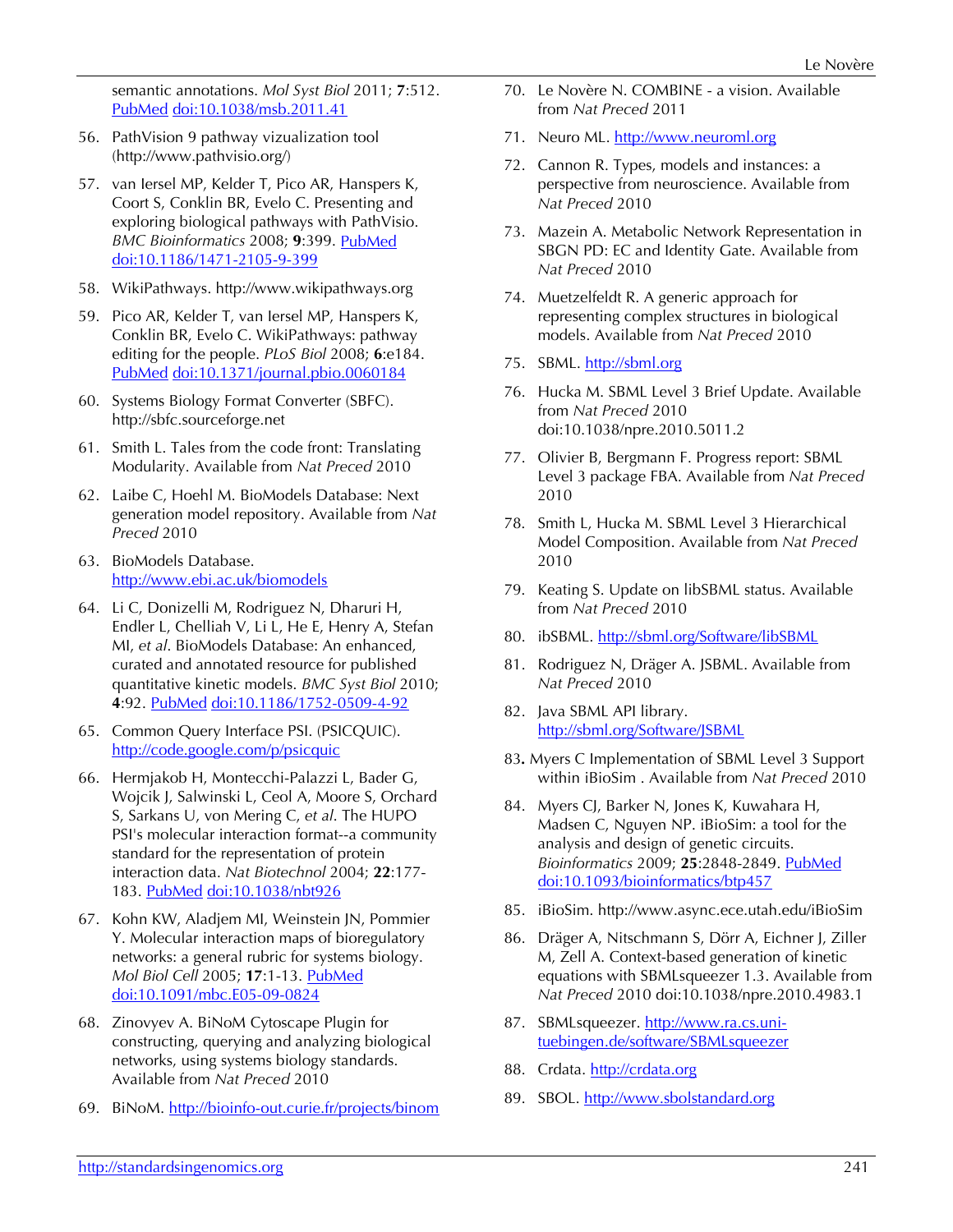semantic annotations. *Mol Syst Biol* 2011; **7**:512[.](http://www.ncbi.nlm.nih.gov/entrez/query.fcgi?cmd=Retrieve&db=PubMed&list_uids=21772260&dopt=Abstract) [PubMed](http://www.ncbi.nlm.nih.gov/entrez/query.fcgi?cmd=Retrieve&db=PubMed&list_uids=21772260&dopt=Abstract) [doi:10.1038/msb.2011.41](http://dx.doi.org/10.1038/msb.2011.41)

- 56. PathVision 9 pathway vizualization tool (http://www.pathvisio.org/)
- 57. van Iersel MP, Kelder T, Pico AR, Hanspers K, Coort S, Conklin BR, Evelo C. Presenting and exploring biological pathways with PathVisio. *BMC Bioinformatics* 2008; **9**:399. [PubMed](http://www.ncbi.nlm.nih.gov/entrez/query.fcgi?cmd=Retrieve&db=PubMed&list_uids=18817533&dopt=Abstract) [doi:10.1186/1471-2105-9-399](http://dx.doi.org/10.1186/1471-2105-9-399)
- 58. WikiPathways. http://www.wikipathways.org
- 59. Pico AR, Kelder T, van Iersel MP, Hanspers K, Conklin BR, Evelo C. WikiPathways: pathway editing for the people. *PLoS Biol* 2008; **6**:e184[.](http://www.ncbi.nlm.nih.gov/entrez/query.fcgi?cmd=Retrieve&db=PubMed&list_uids=18651794&dopt=Abstract) [PubMed](http://www.ncbi.nlm.nih.gov/entrez/query.fcgi?cmd=Retrieve&db=PubMed&list_uids=18651794&dopt=Abstract) [doi:10.1371/journal.pbio.0060184](http://dx.doi.org/10.1371/journal.pbio.0060184)
- 60. Systems Biology Format Converter (SBFC). http://sbfc.sourceforge.net
- 61. Smith L. Tales from the code front: Translating Modularity. Available from *Nat Preced* 2010
- 62. Laibe C, Hoehl M. BioModels Database: Next generation model repository. Available from *Nat Preced* 2010
- 63. BioModels Database. <http://www.ebi.ac.uk/biomodels>
- 64. Li C, Donizelli M, Rodriguez N, Dharuri H, Endler L, Chelliah V, Li L, He E, Henry A, Stefan MI, *et al*. BioModels Database: An enhanced, curated and annotated resource for published quantitative kinetic models. *BMC Syst Biol* 2010; **4**:92. [PubMed](http://www.ncbi.nlm.nih.gov/entrez/query.fcgi?cmd=Retrieve&db=PubMed&list_uids=20587024&dopt=Abstract) [doi:10.1186/1752-0509-4-92](http://dx.doi.org/10.1186/1752-0509-4-92)
- 65. Common Query Interface PSI. (PSICQUIC). <http://code.google.com/p/psicquic>
- 66. Hermjakob H, Montecchi-Palazzi L, Bader G, Wojcik J, Salwinski L, Ceol A, Moore S, Orchard S, Sarkans U, von Mering C, *et al*. The HUPO PSI's molecular interaction format--a community standard for the representation of protein interaction data. *Nat Biotechnol* 2004; **22**:177- 183. [PubMed](http://www.ncbi.nlm.nih.gov/entrez/query.fcgi?cmd=Retrieve&db=PubMed&list_uids=14755292&dopt=Abstract) [doi:10.1038/nbt926](http://dx.doi.org/10.1038/nbt926)
- 67. Kohn KW, Aladjem MI, Weinstein JN, Pommier Y. Molecular interaction maps of bioregulatory networks: a general rubric for systems biology. *Mol Biol Cell* 2005; **17**:1-13. [PubMed](http://www.ncbi.nlm.nih.gov/entrez/query.fcgi?cmd=Retrieve&db=PubMed&list_uids=16267266&dopt=Abstract) [doi:10.1091/mbc.E05-09-0824](http://dx.doi.org/10.1091/mbc.E05-09-0824)
- 68. Zinovyev A. BiNoM Cytoscape Plugin for constructing, querying and analyzing biological networks, using systems biology standards. Available from *Nat Preced* 2010
- 69. BiNoM. http://[bioinfo-out.curie.fr/projects/binom](http://bioinfo-out.curie.fr/projects/binom)
- 70. Le Novère N. COMBINE a vision. Available from *Nat Preced* 2011
- 71. Neuro ML. <u>http://[www.neuroml.org](http://www.neuroml.org/)</u>
- 72. Cannon R. Types, models and instances: a perspective from neuroscience. Available from *Nat Preced* 2010
- 73. Mazein A. Metabolic Network Representation in SBGN PD: EC and Identity Gate. Available from *Nat Preced* 2010
- 74. Muetzelfeldt R. A generic approach for representing complex structures in biological models. Available from *Nat Preced* 2010
- 75. SBML. http://[sbml.org](http://sbml.org/)
- 76. Hucka M. SBML Level 3 Brief Update. Available from *Nat Preced* 2010 doi:10.1038/npre.2010.5011.2
- 77. Olivier B, Bergmann F. Progress report: SBML Level 3 package FBA. Available from *Nat Preced* 2010
- 78. Smith L, Hucka M. SBML Level 3 Hierarchical Model Composition. Available from *Nat Preced* 2010
- 79. Keating S. Update on libSBML status. Available from *Nat Preced* 2010
- 80. ibSBML. <u>http://[sbml.org/Software/libSBML](http://sbml.org/Software/libSBML)</u>
- 81. Rodriguez N, Dräger A. JSBML. Available from *Nat Preced* 2010
- 82. Java SBML API library. http:// [sbml.org/Software/JSBML](http://sbml.org/Software/JSBML)
- 83*.* Myers C Implementation of SBML Level 3 Support within iBioSim . Available from *Nat Preced* 2010
- 84. Myers CJ, Barker N, Jones K, Kuwahara H, Madsen C, Nguyen NP. iBioSim: a tool for the analysis and design of genetic circuits. *Bioinformatics* 2009; **25**:2848-2849. [PubMed](http://www.ncbi.nlm.nih.gov/entrez/query.fcgi?cmd=Retrieve&db=PubMed&list_uids=19628507&dopt=Abstract) [doi:10.1093/bioinformatics/btp457](http://dx.doi.org/10.1093/bioinformatics/btp457)
- 85. iBioSim. http://www.async.ece.utah.edu/iBioSim
- 86. Dräger A, Nitschmann S, Dörr A, Eichner J, Ziller M, Zell A. Context-based generation of kinetic equations with SBMLsqueezer 1.3. Available from *Nat Preced* 2010 doi:10.1038/npre.2010.4983.1
- 87. SBMLsqueezer. [http://www.ra.cs.uni](http://www.ra.cs.uni-tuebingen.de/software/SBMLsqueezer)[tuebingen.de/software/SBMLsqueezer](http://www.ra.cs.uni-tuebingen.de/software/SBMLsqueezer)
- 88. Crdata. [http://crdata.org](http://crdata.org/)
- 89. SBOL. [http://www.sbolstandard.org](http://www.sbolstandard.org/)